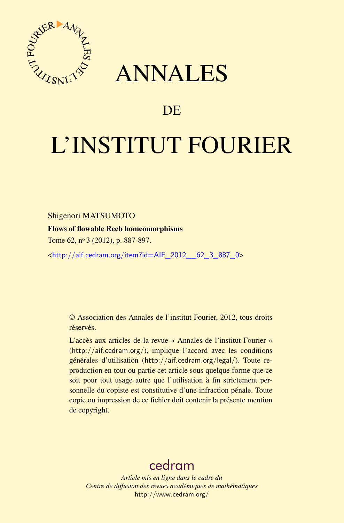

## ANNALES

### **DE**

# L'INSTITUT FOURIER

Shigenori MATSUMOTO

#### Flows of flowable Reeb homeomorphisms

Tome 62, nº 3 (2012), p. 887-897.

<[http://aif.cedram.org/item?id=AIF\\_2012\\_\\_62\\_3\\_887\\_0](http://aif.cedram.org/item?id=AIF_2012__62_3_887_0)>

© Association des Annales de l'institut Fourier, 2012, tous droits réservés.

L'accès aux articles de la revue « Annales de l'institut Fourier » (<http://aif.cedram.org/>), implique l'accord avec les conditions générales d'utilisation (<http://aif.cedram.org/legal/>). Toute reproduction en tout ou partie cet article sous quelque forme que ce soit pour tout usage autre que l'utilisation à fin strictement personnelle du copiste est constitutive d'une infraction pénale. Toute copie ou impression de ce fichier doit contenir la présente mention de copyright.

## [cedram](http://www.cedram.org/)

*Article mis en ligne dans le cadre du Centre de diffusion des revues académiques de mathématiques* <http://www.cedram.org/>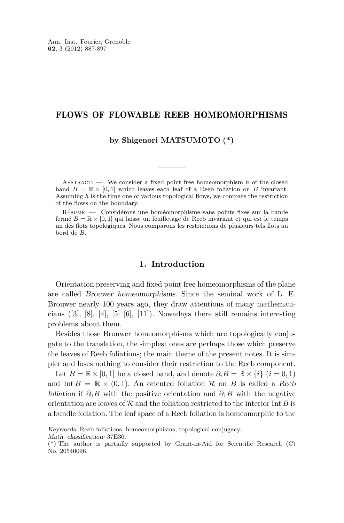#### FLOWS OF FLOWABLE REEB HOMEOMORPHISMS

**by Shigenori MATSUMOTO (\*)**

Abstract. — We consider a fixed point free homeomorphism *h* of the closed band  $B = \mathbb{R} \times [0, 1]$  which leaves each leaf of a Reeb foliation on *B* invariant. Assuming *h* is the time one of various topological flows, we compare the restriction of the flows on the boundary.

Résumé. — Considérons une homéomorphisme sans points fixes sur la bande fermé  $B = \mathbb{R} \times [0, 1]$  qui laisse un feuilletage de Reeb invariant et qui est le temps un des flots topologiques. Nous comparons les restrictions de plusieurs tels flots au bord de *B*.

#### **1. Introduction**

Orientation preserving and fixed point free homeomorphisms of the plane are called Brouwer homeomorphisms. Since the seminal work of L. E. Brouwer nearly 100 years ago, they draw attentions of many mathematicians  $([3], [8], [4], [5], [6], [11])$  $([3], [8], [4], [5], [6], [11])$  $([3], [8], [4], [5], [6], [11])$  $([3], [8], [4], [5], [6], [11])$  $([3], [8], [4], [5], [6], [11])$  $([3], [8], [4], [5], [6], [11])$  $([3], [8], [4], [5], [6], [11])$  $([3], [8], [4], [5], [6], [11])$  $([3], [8], [4], [5], [6], [11])$  $([3], [8], [4], [5], [6], [11])$  $([3], [8], [4], [5], [6], [11])$  $([3], [8], [4], [5], [6], [11])$  $([3], [8], [4], [5], [6], [11])$ . Nowadays there still remains interesting problems about them.

Besides those Brouwer homeomorphisms which are topologically conjugate to the translation, the simplest ones are perhaps those which preserve the leaves of Reeb foliations; the main theme of the present notes. It is simpler and loses nothing to consider their restriction to the Reeb component.

Let  $B = \mathbb{R} \times [0, 1]$  be a closed band, and denote  $\partial_i B = \mathbb{R} \times \{i\}$  ( $i = 0, 1$ ) and Int  $B = \mathbb{R} \times (0, 1)$ . An oriented foliation R on B is called a Reeb foliation if  $\partial_0 B$  with the positive orientation and  $\partial_1 B$  with the negative orientation are leaves of R and the foliation restricted to the interior Int *B* is a bundle foliation. The leaf space of a Reeb foliation is homeomorphic to the

Keywords: Reeb foliations, homeomorphisms, topological conjugacy.

Math. classification: 37E30.

<sup>(\*)</sup> The author is partially supported by Grant-in-Aid for Scientific Research (C) No. 20540096.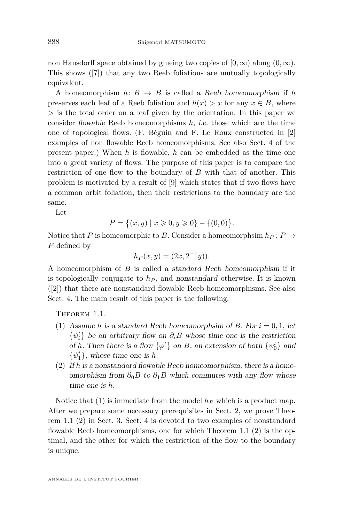<span id="page-2-0"></span>non Hausdorff space obtained by glueing two copies of  $[0, \infty)$  along  $(0, \infty)$ . This shows ([\[7\]](#page-11-0)) that any two Reeb foliations are mutually topologically equivalent.

A homeomorphism  $h: B \to B$  is called a Reeb homeomorphism if h preserves each leaf of a Reeb foliation and  $h(x) > x$  for any  $x \in B$ , where *>* is the total order on a leaf given by the orientation. In this paper we consider flowable Reeb homeomorphisms *h*, i.e. those which are the time one of topological flows. (F. Béguin and F. Le Roux constructed in [\[2\]](#page-11-0) examples of non flowable Reeb homeomorphisms. See also Sect. 4 of the present paper.) When *h* is flowable, *h* can be embedded as the time one into a great variety of flows. The purpose of this paper is to compare the restriction of one flow to the boundary of *B* with that of another. This problem is motivated by a result of [\[9\]](#page-11-0) which states that if two flows have a common orbit foliation, then their restrictions to the boundary are the same.

Let

$$
P = \{(x, y) \mid x \geqslant 0, y \geqslant 0\} - \{(0, 0)\}.
$$

Notice that *P* is homeomorphic to *B*. Consider a homeomorphsim  $h_P: P \to$ *P* defined by

$$
h_P(x, y) = (2x, 2^{-1}y)).
$$

A homeomorphism of *B* is called a standard Reeb homeomorphism if it is topologically conjugate to  $h<sub>P</sub>$ , and nonstandard otherwise. It is known ([\[2\]](#page-11-0)) that there are nonstandard flowable Reeb homeomorphisms. See also Sect. 4. The main result of this paper is the following.

THEOREM 1.1.

- (1) Assume *h* is a standard Reeb homeomorphsim of *B*. For  $i = 0, 1$ , let  $\{\psi_i^t\}$  be an arbitrary flow on  $\partial_i B$  whose time one is the restriction of *h*. Then there is a flow  $\{\varphi^t\}$  on *B*, an extension of both  $\{\psi_0^t\}$  and  $\{\psi_1^t\}$ , whose time one is *h*.
- (2) If *h* is a nonstandard flowable Reeb homeomorphism, there is a homeomorphism from  $\partial_0 B$  to  $\partial_1 B$  which commutes with any flow whose time one is *h*.

Notice that (1) is immediate from the model *h<sup>P</sup>* which is a product map. After we prepare some necessary prerequisites in Sect. 2, we prove Theorem 1.1 (2) in Sect. 3. Sect. 4 is devoted to two examples of nonstandard flowable Reeb homeomorphisms, one for which Theorem 1.1 (2) is the optimal, and the other for which the restriction of the flow to the boundary is unique.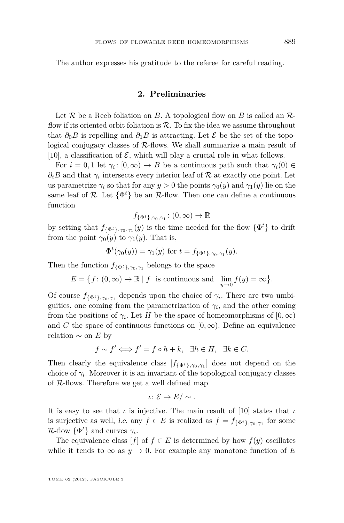The author expresses his gratitude to the referee for careful reading.

#### **2. Preliminaries**

Let  $\mathcal R$  be a Reeb foliation on  $B$ . A topological flow on  $B$  is called an  $\mathcal R$ flow if its oriented orbit foliation is  $R$ . To fix the idea we assume throughout that  $\partial_0 B$  is repelling and  $\partial_1 B$  is attracting. Let  $\mathcal E$  be the set of the topological conjugacy classes of  $R$ -flows. We shall summarize a main result of [\[10\]](#page-11-0), a classification of  $\mathcal{E}$ , which will play a crucial role in what follows.

For  $i = 0, 1$  let  $\gamma_i : [0, \infty) \to B$  be a continuous path such that  $\gamma_i(0) \in$  $\partial_i B$  and that  $\gamma_i$  intersects every interior leaf of R at exactly one point. Let us parametrize  $\gamma_i$  so that for any  $y > 0$  the points  $\gamma_0(y)$  and  $\gamma_1(y)$  lie on the same leaf of  $\mathcal{R}$ . Let  $\{\Phi^t\}$  be an  $\mathcal{R}$ -flow. Then one can define a continuous function

$$
f_{\{\Phi^t\},\gamma_0,\gamma_1} \colon (0,\infty) \to \mathbb{R}
$$

by setting that  $f_{\{\Phi^t\},\gamma_0,\gamma_1}(y)$  is the time needed for the flow  $\{\Phi^t\}$  to drift from the point  $\gamma_0(y)$  to  $\gamma_1(y)$ . That is,

$$
\Phi^t(\gamma_0(y)) = \gamma_1(y) \text{ for } t = f_{\{\Phi^t\}, \gamma_0, \gamma_1}(y).
$$

Then the function  $f_{\{\Phi^t\},\gamma_0,\gamma_1}$  belongs to the space

$$
E = \big\{ f \colon (0, \infty) \to \mathbb{R} \mid f \text{ is continuous and } \lim_{y \to 0} f(y) = \infty \big\}.
$$

Of course  $f_{\{\Phi^t\},\gamma_0,\gamma_1}$  depends upon the choice of  $\gamma_i$ . There are two umbiguities, one coming from the parametrization of  $\gamma_i$ , and the other coming from the positions of  $\gamma_i$ . Let *H* be the space of homeomorphisms of  $[0, \infty)$ and *C* the space of continuous functions on  $[0, \infty)$ . Define an equivalence relation ∼ on *E* by

$$
f \sim f' \Longleftrightarrow f' = f \circ h + k, \quad \exists h \in H, \quad \exists k \in C.
$$

Then clearly the equivalence class  $[f_{\{\Phi^t\},\gamma_0,\gamma_1}]\$  does not depend on the choice of  $\gamma_i$ . Moreover it is an invariant of the topological conjugacy classes of R-flows. Therefore we get a well defined map

$$
\iota\colon \mathcal{E}\to E/\sim.
$$

It is easy to see that *ι* is injective. The main result of [\[10\]](#page-11-0) states that *ι* is surjective as well, *i.e.* any  $f \in E$  is realized as  $f = f_{\{\Phi^t\}, \gamma_0, \gamma_1}$  for some  $\mathcal{R}\text{-flow }\{\Phi^t\}$  and curves  $\gamma_i$ .

The equivalence class  $[f]$  of  $f \in E$  is determined by how  $f(y)$  oscillates while it tends to  $\infty$  as  $y \to 0$ . For example any monotone function of E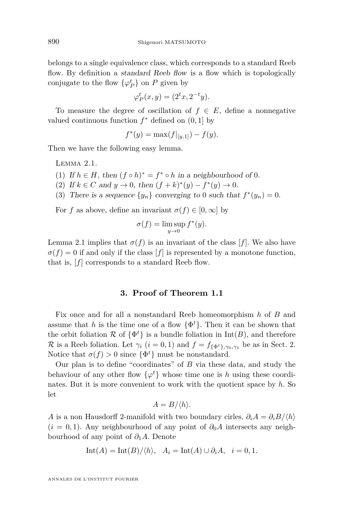belongs to a single equivalence class, which corresponds to a standard Reeb flow. By definition a *standard Reeb flow* is a flow which is topologically conjugate to the flow  $\{\varphi_P^t\}$  on *P* given by

$$
\varphi_P^t(x, y) = (2^t x, 2^{-t} y).
$$

To measure the degree of oscillation of  $f \in E$ , define a nonnegative valued continuous function  $f^*$  defined on  $(0, 1]$  by

$$
f^*(y) = \max(f|_{[y,1]}) - f(y).
$$

Then we have the following easy lemma.

Lemma 2.1.

(1) If  $h \in H$ , then  $(f \circ h)^* = f^* \circ h$  in a neighbourhood of 0.

(2) If  $k \in C$  and  $y \to 0$ , then  $(f + k)^*(y) - f^*(y) \to 0$ .

(3) There is a sequence  $\{y_n\}$  converging to 0 such that  $f^*(y_n) = 0$ .

For *f* as above, define an invariant  $\sigma(f) \in [0, \infty]$  by

$$
\sigma(f) = \limsup_{y \to 0} f^*(y).
$$

Lemma 2.1 implies that  $\sigma(f)$  is an invariant of the class [f]. We also have  $\sigma(f) = 0$  if and only if the class  $[f]$  is represented by a monotone function, that is, [*f*] corresponds to a standard Reeb flow.

#### **3. Proof of Theorem [1.1](#page-2-0)**

Fix once and for all a nonstandard Reeb homeomorphism *h* of *B* and assume that *h* is the time one of a flow  $\{\Phi^t\}$ . Then it can be shown that the orbit foliation  $\mathcal{R}$  of  $\{\Phi^t\}$  is a bundle foliation in  $\text{Int}(B)$ , and therefore R is a Reeb foliation. Let  $\gamma_i$   $(i = 0, 1)$  and  $f = f_{\{\Phi^t\}, \gamma_0, \gamma_1}$  be as in Sect. 2. Notice that  $\sigma(f) > 0$  since  $\{\Phi^t\}$  must be nonstandard.

Our plan is to define "coordinates" of *B* via these data, and study the behaviour of any other flow  $\{\varphi^t\}$  whose time one is *h* using these coordinates. But it is more convenient to work with the quotient space by *h*. So let

$$
A = B/\langle h \rangle.
$$

*A* is a non-Hausdorff 2-manifold with two boundary cirles,  $\partial_i A = \partial_i B / \langle h \rangle$  $(i = 0, 1)$ . Any neighbourhood of any point of  $\partial_0 A$  intersects any neighbourhood of any point of *∂*1*A*. Denote

$$
Int(A) = Int(B)/\langle h \rangle, \quad A_i = Int(A) \cup \partial_i A, \quad i = 0, 1.
$$

ANNALES DE L'INSTITUT FOURIER

<span id="page-4-0"></span>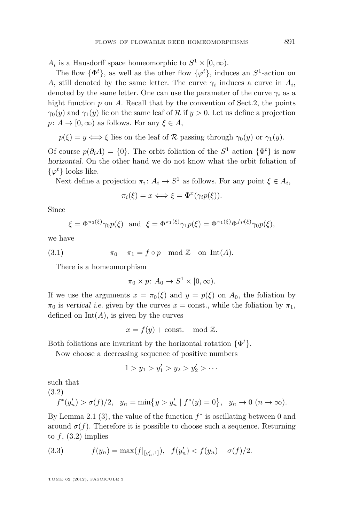<span id="page-5-0"></span> $A_i$  is a Hausdorff space homeomorphic to  $S^1 \times [0, \infty)$ .

The flow  $\{\Phi^t\}$ , as well as the other flow  $\{\varphi^t\}$ , induces an  $S^1$ -action on *A*, still denoted by the same letter. The curve  $\gamma_i$  induces a curve in  $A_i$ , denoted by the same letter. One can use the parameter of the curve  $\gamma_i$  as a hight function p on A. Recall that by the convention of Sect. 2, the points  $\gamma_0(y)$  and  $\gamma_1(y)$  lie on the same leaf of R if  $y > 0$ . Let us define a projection  $p: A \to [0, \infty)$  as follows. For any  $\xi \in A$ ,

 $p(\xi) = y \iff \xi$  lies on the leaf of R passing through  $\gamma_0(y)$  or  $\gamma_1(y)$ .

Of course  $p(\partial_i A) = \{0\}$ . The orbit foliation of the  $S^1$  action  $\{\Phi^t\}$  is now horizontal. On the other hand we do not know what the orbit foliation of  $\{\varphi^t\}$  looks like.

Next define a projection  $\pi_i: A_i \to S^1$  as follows. For any point  $\xi \in A_i$ ,

$$
\pi_i(\xi) = x \Longleftrightarrow \xi = \Phi^x(\gamma_i p(\xi)).
$$

Since

$$
\xi = \Phi^{\pi_0(\xi)} \gamma_0 p(\xi) \text{ and } \xi = \Phi^{\pi_1(\xi)} \gamma_1 p(\xi) = \Phi^{\pi_1(\xi)} \Phi^{fp(\xi)} \gamma_0 p(\xi),
$$

we have

(3.1) 
$$
\pi_0 - \pi_1 = f \circ p \mod \mathbb{Z} \text{ on Int}(A).
$$

There is a homeomorphism

$$
\pi_0 \times p \colon A_0 \to S^1 \times [0, \infty).
$$

If we use the arguments  $x = \pi_0(\xi)$  and  $y = p(\xi)$  on  $A_0$ , the foliation by  $\pi_0$  is vertical i.e. given by the curves  $x = \text{const.}$ , while the foliation by  $\pi_1$ , defined on  $Int(A)$ , is given by the curves

$$
x = f(y) + \text{const.} \mod \mathbb{Z}.
$$

Both foliations are invariant by the horizontal rotation {Φ *t*}.

Now choose a decreasing sequence of positive numbers

$$
1 > y_1 > y'_1 > y_2 > y'_2 > \cdots
$$

such that

(3.2)

$$
f^*(y'_n) > \sigma(f)/2
$$
,  $y_n = \min\{y > y'_n \mid f^*(y) = 0\}$ ,  $y_n \to 0 \ (n \to \infty)$ .

By Lemma [2.1](#page-4-0) (3), the value of the function  $f^*$  is oscillating between 0 and around  $\sigma(f)$ . Therefore it is possible to choose such a sequence. Returning to  $f$ ,  $(3.2)$  implies

(3.3) 
$$
f(y_n) = \max(f|_{[y'_n,1]}), \quad f(y'_n) < f(y_n) - \sigma(f)/2.
$$

TOME 62 (2012), FASCICULE 3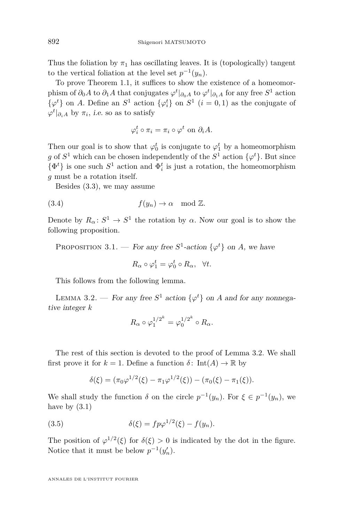<span id="page-6-0"></span>Thus the foliation by  $\pi_1$  has oscillating leaves. It is (topologically) tangent to the vertical foliation at the level set  $p^{-1}(y_n)$ .

To prove Theorem [1.1,](#page-2-0) it suffices to show the existence of a homeomorphism of  $\partial_0 A$  to  $\partial_1 A$  that conjugates  $\varphi^t|_{\partial_0 A}$  to  $\varphi^t|_{\partial_1 A}$  for any free  $S^1$  action  $\{\varphi_i^t\}$  on *A*. Define an  $S^1$  action  $\{\varphi_i^t\}$  on  $S^1$   $(i = 0, 1)$  as the conjugate of  $\varphi^t|_{\partial_i A}$  by  $\pi_i$ , *i.e.* so as to satisfy

$$
\varphi_i^t \circ \pi_i = \pi_i \circ \varphi^t \text{ on } \partial_i A.
$$

Then our goal is to show that  $\varphi_0^t$  is conjugate to  $\varphi_1^t$  by a homeomorphism *g* of  $S^1$  which can be chosen independently of the  $S^1$  action  $\{\varphi^t\}$ . But since  $\{\Phi^t\}$  is one such  $S^1$  action and  $\Phi^t_i$  is just a rotation, the homeomorphism *g* must be a rotation itself.

Besides [\(3.3\)](#page-5-0), we may assume

(3.4) 
$$
f(y_n) \to \alpha \mod \mathbb{Z}
$$
.

Denote by  $R_\alpha: S^1 \to S^1$  the rotation by  $\alpha$ . Now our goal is to show the following proposition.

PROPOSITION 3.1. — For any free  $S^1$ -action  $\{\varphi^t\}$  on *A*, we have

$$
R_{\alpha} \circ \varphi_1^t = \varphi_0^t \circ R_{\alpha}, \quad \forall t.
$$

This follows from the following lemma.

LEMMA 3.2. — For any free  $S^1$  action  $\{\varphi^t\}$  on *A* and for any nonnegative integer *k*

$$
R_{\alpha} \circ \varphi_1^{1/2^k} = \varphi_0^{1/2^k} \circ R_{\alpha}.
$$

The rest of this section is devoted to the proof of Lemma 3.2. We shall first prove it for  $k = 1$ . Define a function  $\delta$ : Int $(A) \to \mathbb{R}$  by

$$
\delta(\xi) = (\pi_0 \varphi^{1/2}(\xi) - \pi_1 \varphi^{1/2}(\xi)) - (\pi_0(\xi) - \pi_1(\xi)).
$$

We shall study the function  $\delta$  on the circle  $p^{-1}(y_n)$ . For  $\xi \in p^{-1}(y_n)$ , we have by  $(3.1)$ 

(3.5) 
$$
\delta(\xi) = f p \varphi^{1/2}(\xi) - f(y_n).
$$

The position of  $\varphi^{1/2}(\xi)$  for  $\delta(\xi) > 0$  is indicated by the dot in the figure. Notice that it must be below  $p^{-1}(y'_n)$ .

ANNALES DE L'INSTITUT FOURIER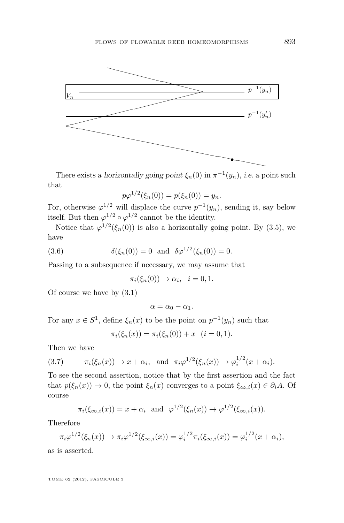<span id="page-7-0"></span>

There exists a *horizontally going point*  $\xi_n(0)$  in  $\pi^{-1}(y_n)$ , *i.e.* a point such that

$$
p\varphi^{1/2}(\xi_n(0)) = p(\xi_n(0)) = y_n.
$$

For, otherwise  $\varphi^{1/2}$  will displace the curve  $p^{-1}(y_n)$ , sending it, say below itself. But then  $\varphi^{1/2} \circ \varphi^{1/2}$  cannot be the identity.

Notice that  $\varphi^{1/2}(\xi_n(0))$  is also a horizontally going point. By [\(3.5\)](#page-6-0), we have

(3.6) 
$$
\delta(\xi_n(0)) = 0 \text{ and } \delta \varphi^{1/2}(\xi_n(0)) = 0.
$$

Passing to a subsequence if necessary, we may assume that

$$
\pi_i(\xi_n(0)) \to \alpha_i, \quad i = 0, 1.
$$

Of course we have by [\(3.1\)](#page-5-0)

$$
\alpha=\alpha_0-\alpha_1.
$$

For any  $x \in S^1$ , define  $\xi_n(x)$  to be the point on  $p^{-1}(y_n)$  such that

$$
\pi_i(\xi_n(x)) = \pi_i(\xi_n(0)) + x \quad (i = 0, 1).
$$

Then we have

$$
(3.7) \qquad \pi_i(\xi_n(x)) \to x + \alpha_i, \text{ and } \pi_i \varphi^{1/2}(\xi_n(x)) \to \varphi_i^{1/2}(x + \alpha_i).
$$

To see the second assertion, notice that by the first assertion and the fact that  $p(\xi_n(x)) \to 0$ , the point  $\xi_n(x)$  converges to a point  $\xi_{\infty,i}(x) \in \partial_i A$ . Of course

$$
\pi_i(\xi_{\infty,i}(x)) = x + \alpha_i \text{ and } \varphi^{1/2}(\xi_n(x)) \to \varphi^{1/2}(\xi_{\infty,i}(x)).
$$

Therefore

$$
\pi_i \varphi^{1/2}(\xi_n(x)) \to \pi_i \varphi^{1/2}(\xi_{\infty,i}(x)) = \varphi_i^{1/2} \pi_i(\xi_{\infty,i}(x)) = \varphi_i^{1/2}(x + \alpha_i),
$$

as is asserted.

TOME 62 (2012), FASCICULE 3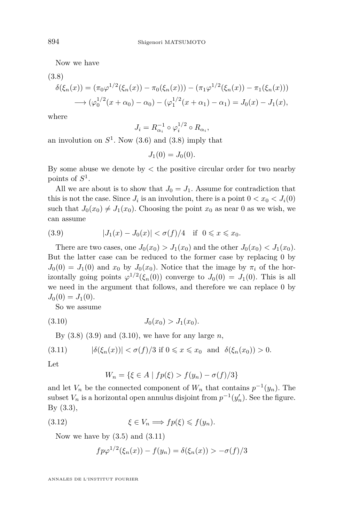Now we have

$$
(3.8)
$$
  
\n
$$
\delta(\xi_n(x)) = (\pi_0 \varphi^{1/2}(\xi_n(x)) - \pi_0(\xi_n(x))) - (\pi_1 \varphi^{1/2}(\xi_n(x)) - \pi_1(\xi_n(x)))
$$
  
\n
$$
\longrightarrow (\varphi_0^{1/2}(x + \alpha_0) - \alpha_0) - (\varphi_1^{1/2}(x + \alpha_1) - \alpha_1) = J_0(x) - J_1(x),
$$

where

$$
J_i = R_{\alpha_i}^{-1} \circ \varphi_i^{1/2} \circ R_{\alpha_i},
$$

an involution on  $S^1$ . Now  $(3.6)$  and  $(3.8)$  imply that

$$
J_1(0) = J_0(0).
$$

By some abuse we denote by *<* the positive circular order for two nearby points of *S* 1 .

All we are about is to show that  $J_0 = J_1$ . Assume for contradiction that this is not the case. Since  $J_i$  is an involution, there is a point  $0 < x_0 < J_i(0)$ such that  $J_0(x_0) \neq J_1(x_0)$ . Choosing the point  $x_0$  as near 0 as we wish, we can assume

(3.9) 
$$
|J_1(x) - J_0(x)| < \sigma(f)/4 \quad \text{if} \quad 0 \leq x \leq x_0.
$$

There are two cases, one  $J_0(x_0) > J_1(x_0)$  and the other  $J_0(x_0) < J_1(x_0)$ . But the latter case can be reduced to the former case by replacing 0 by  $J_0(0) = J_1(0)$  and  $x_0$  by  $J_0(x_0)$ . Notice that the image by  $\pi_i$  of the horizontally going points  $\varphi^{1/2}(\xi_n(0))$  converge to  $J_0(0) = J_1(0)$ . This is all we need in the argument that follows, and therefore we can replace 0 by  $J_0(0) = J_1(0).$ 

So we assume

$$
(3.10) \t\t J_0(x_0) > J_1(x_0).
$$

By (3.8) (3.9) and (3.10), we have for any large *n*,

$$
(3.11) \qquad |\delta(\xi_n(x))| < \sigma(f)/3 \text{ if } 0 \leq x \leq x_0 \text{ and } \delta(\xi_n(x_0)) > 0.
$$

Let

$$
W_n = \{ \xi \in A \mid fp(\xi) > f(y_n) - \sigma(f)/3 \}
$$

and let  $V_n$  be the connected component of  $W_n$  that contains  $p^{-1}(y_n)$ . The subset  $V_n$  is a horizontal open annulus disjoint from  $p^{-1}(y'_n)$ . See the figure. By [\(3.3\)](#page-5-0),

(3.12) 
$$
\xi \in V_n \Longrightarrow fp(\xi) \leqslant f(y_n).
$$

Now we have by  $(3.5)$  and  $(3.11)$ 

$$
f p \varphi^{1/2}(\xi_n(x)) - f(y_n) = \delta(\xi_n(x)) > -\sigma(f)/3
$$

ANNALES DE L'INSTITUT FOURIER

<span id="page-8-0"></span>

 $(3.8)$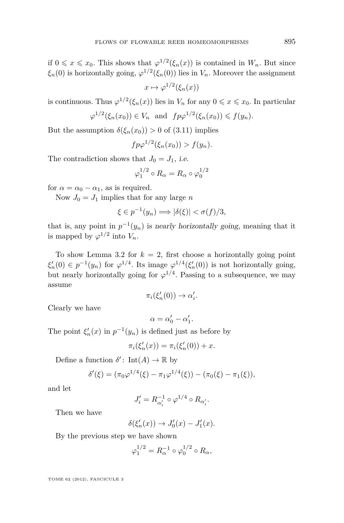if  $0 \le x \le x_0$ . This shows that  $\varphi^{1/2}(\xi_n(x))$  is contained in  $W_n$ . But since  $\xi_n(0)$  is horizontally going,  $\varphi^{1/2}(\xi_n(0))$  lies in  $V_n$ . Moreover the assignment

$$
x \mapsto \varphi^{1/2}(\xi_n(x))
$$

is continuous. Thus  $\varphi^{1/2}(\xi_n(x))$  lies in  $V_n$  for any  $0 \leq x \leq x_0$ . In particular

$$
\varphi^{1/2}(\xi_n(x_0)) \in V_n \text{ and } fp\varphi^{1/2}(\xi_n(x_0)) \leq f(y_n).
$$

But the assumption  $\delta(\xi_n(x_0)) > 0$  of [\(3.11\)](#page-8-0) implies

$$
fp\varphi^{1/2}(\xi_n(x_0)) > f(y_n).
$$

The contradiction shows that  $J_0 = J_1$ , *i.e.* 

$$
\varphi_1^{1/2}\circ R_\alpha=R_\alpha\circ\varphi_0^{1/2}
$$

for  $\alpha = \alpha_0 - \alpha_1$ , as is required.

Now  $J_0 = J_1$  implies that for any large *n* 

$$
\xi \in p^{-1}(y_n) \Longrightarrow |\delta(\xi)| < \sigma(f)/3,
$$

that is, any point in  $p^{-1}(y_n)$  is nearly horizontally going, meaning that it is mapped by  $\varphi^{1/2}$  into  $V_n$ .

To show Lemma [3.2](#page-6-0) for  $k = 2$ , first choose a horizontally going point  $\xi'_n(0) \in p^{-1}(y_n)$  for  $\varphi^{1/4}$ . Its image  $\varphi^{1/4}(\xi'_n(0))$  is not horizontally going, but nearly horizontally going for  $\varphi^{1/4}$ . Passing to a subsequence, we may assume

$$
\pi_i(\xi'_n(0)) \to \alpha'_i.
$$

Clearly we have

$$
\alpha = \alpha_0' - \alpha_1'.
$$

The point  $\xi'_n(x)$  in  $p^{-1}(y_n)$  is defined just as before by

$$
\pi_i(\xi'_n(x)) = \pi_i(\xi'_n(0)) + x.
$$

Define a function  $\delta'$ : Int(*A*)  $\to \mathbb{R}$  by

$$
\delta'(\xi) = (\pi_0 \varphi^{1/4}(\xi) - \pi_1 \varphi^{1/4}(\xi)) - (\pi_0(\xi) - \pi_1(\xi)),
$$

and let

$$
J_i' = R_{\alpha_i'}^{-1} \circ \varphi^{1/4} \circ R_{\alpha_i'}.
$$

Then we have

$$
\delta(\xi_n'(x)) \to J_0'(x) - J_1'(x).
$$

By the previous step we have shown

$$
\varphi_1^{1/2} = R_\alpha^{-1} \circ \varphi_0^{1/2} \circ R_\alpha,
$$

TOME 62 (2012), FASCICULE 3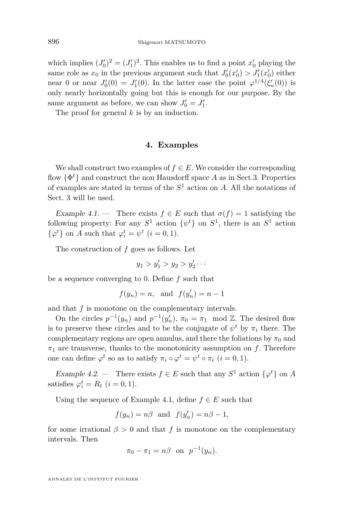which implies  $(J'_0)^2 = (J'_1)^2$ . This enables us to find a point  $x'_0$  playing the same role as  $x_0$  in the previous argument such that  $J'_0(x'_0) > J'_1(x'_0)$  either near 0 or near  $J'_0(0) = J'_1(0)$ . In the latter case the point  $\varphi^{1/4}(\xi'_n(0))$  is only nearly horizontally going but this is enough for our purpose. By the same argument as before, we can show  $J'_0 = J'_1$ .

The proof for general *k* is by an induction.

#### **4. Examples**

We shall construct two examples of  $f \in E$ . We consider the corresponding flow {Φ *<sup>t</sup>*} and construct the non Hausdorff space *A* as in Sect.3. Properties of examples are stated in terms of the *S* <sup>1</sup> action on *A*. All the notations of Sect. 3 will be used.

Example 4.1. — There exists  $f \in E$  such that  $\sigma(f) = 1$  satisfying the following property: For any  $S^1$  action  $\{\psi^t\}$  on  $S^1$ , there is an  $S^1$  action  $\{\varphi^t\}$  on *A* such that  $\varphi^t_i = \psi^t$  (*i* = 0, 1).

The construction of *f* goes as follows. Let

$$
y_1 > y_1' > y_2 > y_2' \cdots
$$

be a sequence converging to 0. Define *f* such that

$$
f(y_n) = n
$$
, and  $f(y'_n) = n - 1$ 

and that  $f$  is monotone on the complementary intervals.

On the circles  $p^{-1}(y_n)$  and  $p^{-1}(y'_n)$ ,  $\pi_0 = \pi_1 \mod \mathbb{Z}$ . The desired flow is to preserve these circles and to be the conjugate of  $\psi^t$  by  $\pi_i$  there. The complementary regions are open annulus, and there the foliations by  $\pi_0$  and  $\pi_1$  are transverse, thanks to the monotonicity assumption on *f*. Therefore one can define  $\varphi^t$  so as to satisfy  $\pi_i \circ \varphi^t = \psi^t \circ \pi_i$   $(i = 0, 1)$ .

Example 4.2. — There exists  $f \in E$  such that any  $S^1$  action  $\{\varphi^t\}$  on *A* satisfies  $\varphi_i^t = R_t$  (*i* = 0, 1).

Using the sequence of Example 4.1, define  $f \in E$  such that

$$
f(y_n) = n\beta
$$
 and  $f(y'_n) = n\beta - 1$ ,

for some irrational  $\beta > 0$  and that f is monotone on the complementary intervals. Then

$$
\pi_0 - \pi_1 = n\beta \quad \text{on} \quad p^{-1}(y_n).
$$

ANNALES DE L'INSTITUT FOURIER